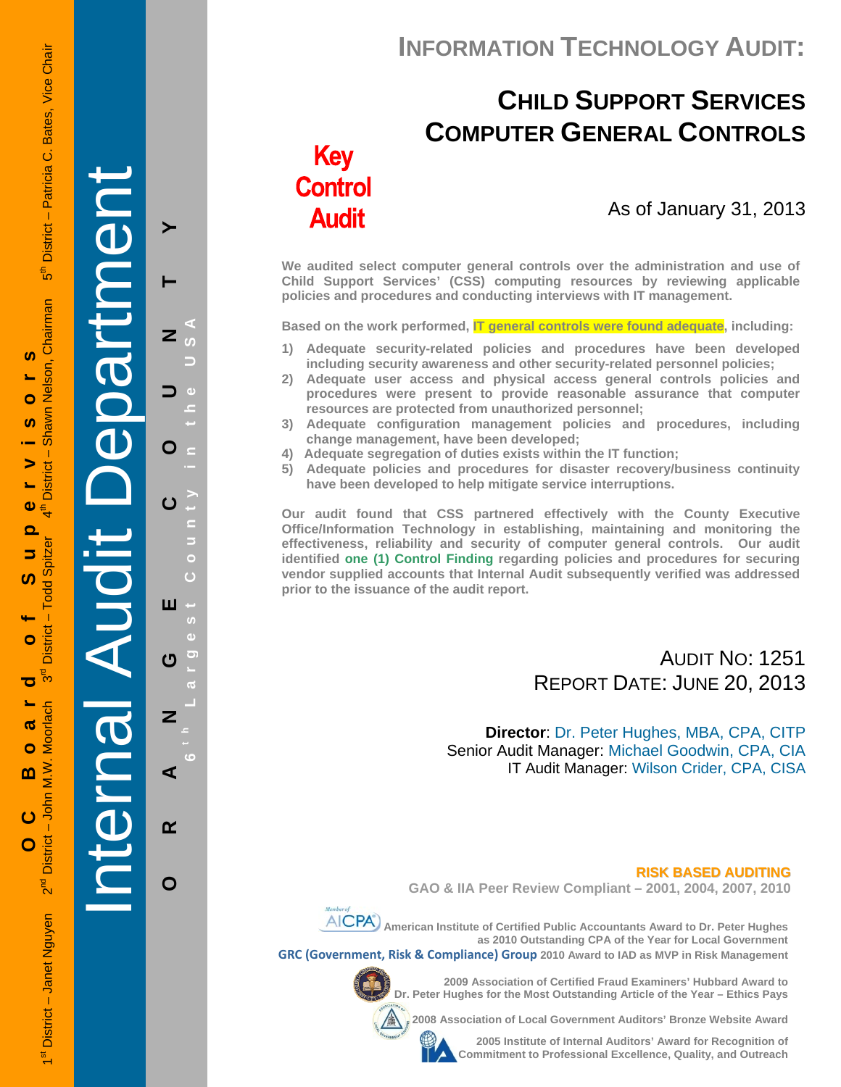## **INFORMATION TECHNOLOGY AUDIT:**

# **CHILD SUPPORT SERVICES COMPUTER GENERAL CONTROLS**

# **Key Control Audit**

## As of January 31, 2013

**We audited select computer general controls over the administration and use of Child Support Services' (CSS) computing resources by reviewing applicable policies and procedures and conducting interviews with IT management.** 

**Based on the work performed, IT general controls were found adequate, including:** 

- **1) Adequate security-related policies and procedures have been developed including security awareness and other security-related personnel policies;**
- **2) Adequate user access and physical access general controls policies and procedures were present to provide reasonable assurance that computer resources are protected from unauthorized personnel;**
- **3) Adequate configuration management policies and procedures, including change management, have been developed;**
- **4) Adequate segregation of duties exists within the IT function;**
- **5) Adequate policies and procedures for disaster recovery/business continuity have been developed to help mitigate service interruptions.**

**Our audit found that CSS partnered effectively with the County Executive Office/Information Technology in establishing, maintaining and monitoring the effectiveness, reliability and security of computer general controls. Our audit identified one (1) Control Finding regarding policies and procedures for securing vendor supplied accounts that Internal Audit subsequently verified was addressed prior to the issuance of the audit report.** 

## AUDIT NO: 1251 REPORT DATE: JUNE 20, 2013

**Director**: Dr. Peter Hughes, MBA, CPA, CITP Senior Audit Manager: Michael Goodwin, CPA, CIA IT Audit Manager: Wilson Crider, CPA, CISA

 **RISK BASED AUDITING GAO & IIA Peer Review Compliant – 2001, 2004, 2007, 2010** 



**AICPA**) American Institute of Certified Public Accountants Award to Dr. Peter Hughes **as 2010 Outstanding CPA of the Year for Local Government** 

**GRC (Government, Risk & Compliance) Group 2010 Award to IAD as MVP in Risk Management** 



**2009 Association of Certified Fraud Examiners' Hubbard Award to Dr. Peter Hughes for the Most Outstanding Article of the Year – Ethics Pays** 

**2008 Association of Local Government Auditors' Bronze Website Award** 

**2005 Institute of Internal Auditors' Award for Recognition of Commitment to Professional Excellence, Quality, and Outreach**

Internal Audit Department **ORANGE COUNTY 6 t h Lar** O ш U Z ⋖  $\alpha$ 

**g**

O

**est Count**

**y in the USA**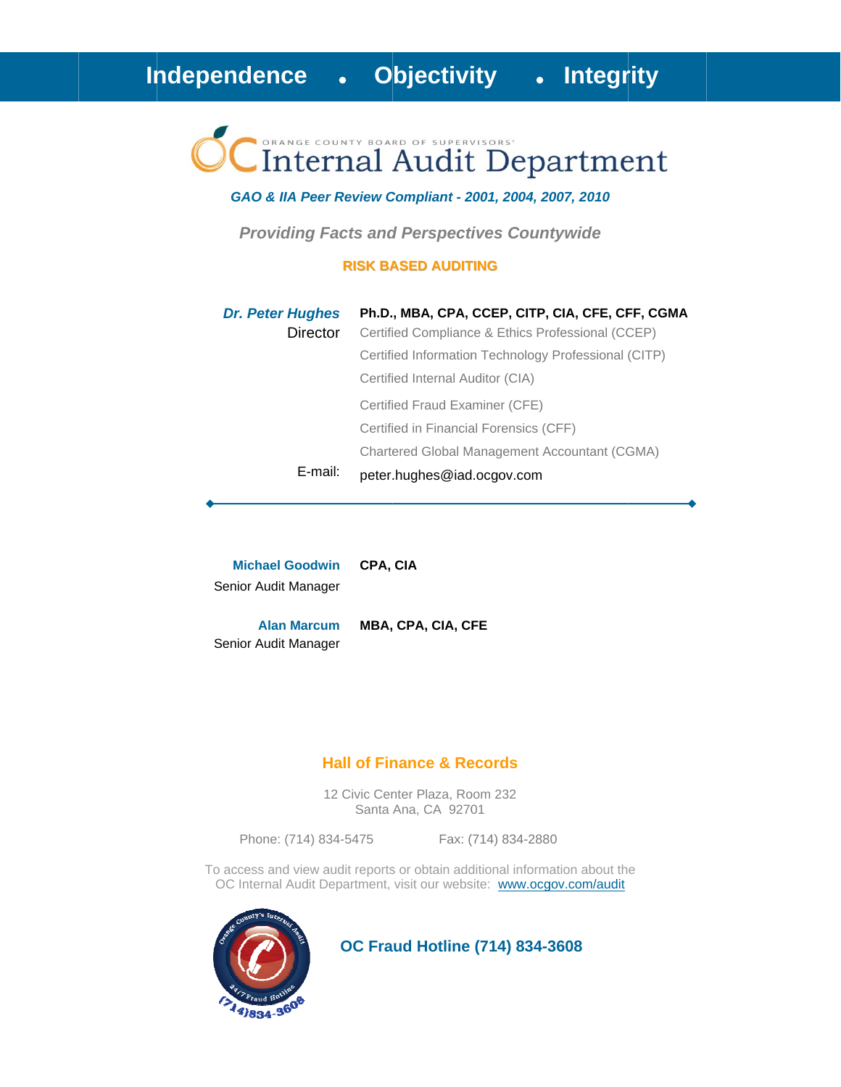# Internal Audit Department

#### GAO & IIA Peer Review Compliant - 2001, 2004, 2007, 2010

**Providing Facts and Perspectives Countywide** 

#### **RISK BASED AUDITING**

| <b>Dr. Peter Hughes</b> | Ph.D., MBA, CPA, CCEP, CITP, CIA, CFE, CFF, CGMA     |
|-------------------------|------------------------------------------------------|
| Director                | Certified Compliance & Ethics Professional (CCEP)    |
|                         | Certified Information Technology Professional (CITP) |
|                         | Certified Internal Auditor (CIA)                     |
|                         | Certified Fraud Examiner (CFE)                       |
|                         | Certified in Financial Forensics (CFF)               |
|                         | Chartered Global Management Accountant (CGMA)        |
| E-mail:                 | peter.hughes@iad.ocgov.com                           |

**Michael Goodwin** CPA, CIA Senior Audit Manager

**Alan Marcum** MBA, CPA, CIA, CFE Senior Audit Manager

#### **Hall of Finance & Records**

12 Civic Center Plaza, Room 232 Santa Ana, CA 92701

Phone: (714) 834-5475

Fax: (714) 834-2880

To access and view audit reports or obtain additional information about the OC Internal Audit Department, visit our website: www.ocgov.com/audit



**OC Fraud Hotline (714) 834-3608**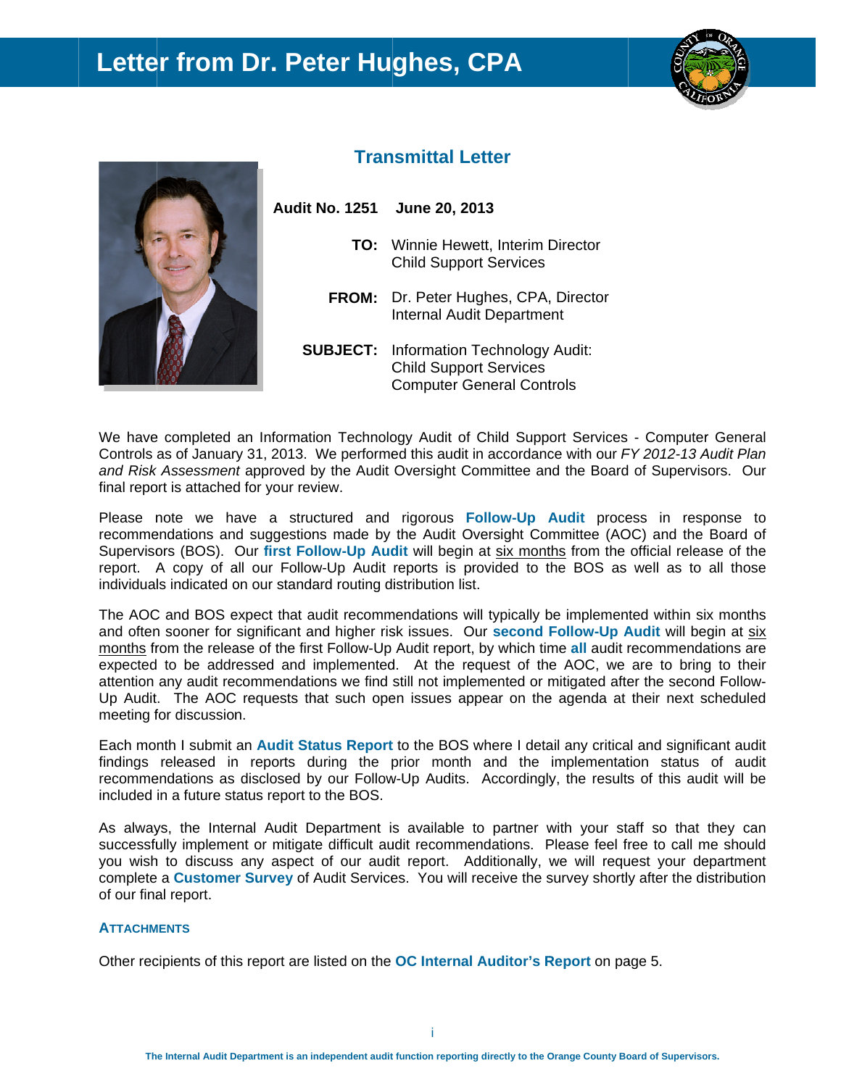# **Letter from Dr. Peter Hughes, CPA**





### **Transmittal Letter**

- **Audit No. 1251 June 20, 20 013** 
	- **TO:** Winnie Hewett, Interim Director Child Support Services
	- FROM: Dr. Peter Hughes, CPA, Director Internal Audit Department
	- **SUBJECT:** Information Technology Audit: Child Support Services Computer General Controls

We have completed an Information Technology Audit of Child Support Services - Computer General Controls as of January 31, 2013. We performed this audit in accordance with our *FY 2012-13 Audit Plan* and Risk Assessment approved by the Audit Oversight Committee and the Board of Supervisors. Our final report is attached for your review.

Please note we have a structured and rigorous Follow-Up Audit process in response to recommendations and suggestions made by the Audit Oversight Committee (AOC) and the Board of Supervisors (BOS). Our first Follow-Up Audit will begin at six months from the official release of the report. A copy of all our Follow-Up Audit reports is provided to the BOS as well as to all those individuals indicated on our standard routing distribution list.

The AOC and BOS expect that audit recommendations will typically be implemented within six months and often sooner for significant and higher risk issues. Our second Follow-Up Audit will begin at six months from the release of the first Follow-Up Audit report, by which time all audit recommendations are expected to be addressed and implemented. At the request of the AOC, we are to bring to their attention any audit recommendations we find still not implemented or mitigated after the second Follow-Up Audit. The AOC requests that such open issues appear on the agenda at their next scheduled meeting for discussion.

Each month I submit an **Audit Status Report** to the BOS where I detail any critical and significant audit findings released in reports during the prior month and the implementation status of audit recommendations as disclosed by our Follow-Up Audits. Accordingly, the results of this audit will be included in a future status report to the BOS.

As always, the Internal Audit Department is available to partner with your staff so that they can successfully implement or mitigate difficult audit recommendations. Please feel free to call me should you wish to discuss any aspect of our audit report. Additionally, we will request your department complete a **Customer Survey** of Audit Services. You will receive the survey shortly after the distribution of our final report.

#### **ATTACHM MENTS**

Other recipients of this report are listed on the OC Internal Auditor's Report on page 5.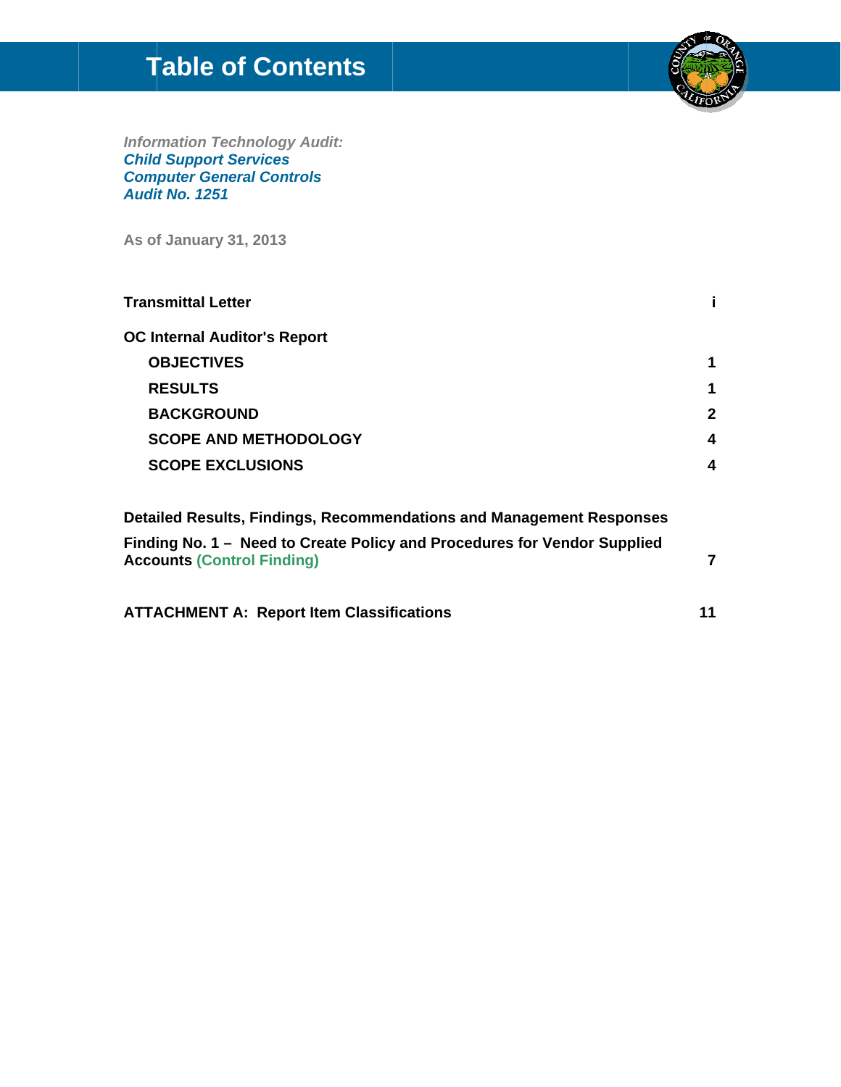# **Table of Contents**



**Information Technology Audit:<br>Child Support Services<br>Computer General Controls** Audit No. 1251

As of January 31, 2013

| <b>Transmittal Letter</b>                                                                                     |              |
|---------------------------------------------------------------------------------------------------------------|--------------|
| <b>OC Internal Auditor's Report</b>                                                                           |              |
| <b>OBJECTIVES</b>                                                                                             | 1            |
| <b>RESULTS</b>                                                                                                | 1            |
| <b>BACKGROUND</b>                                                                                             | $\mathbf{2}$ |
| <b>SCOPE AND METHODOLOGY</b>                                                                                  | 4            |
| <b>SCOPE EXCLUSIONS</b>                                                                                       | 4            |
| <b>Detailed Results, Findings, Recommendations and Management Responses</b>                                   |              |
| Finding No. 1 – Need to Create Policy and Procedures for Vendor Supplied<br><b>Accounts (Control Finding)</b> | 7            |
| <b>ATTACHMENT A: Report Item Classifications</b>                                                              | 11           |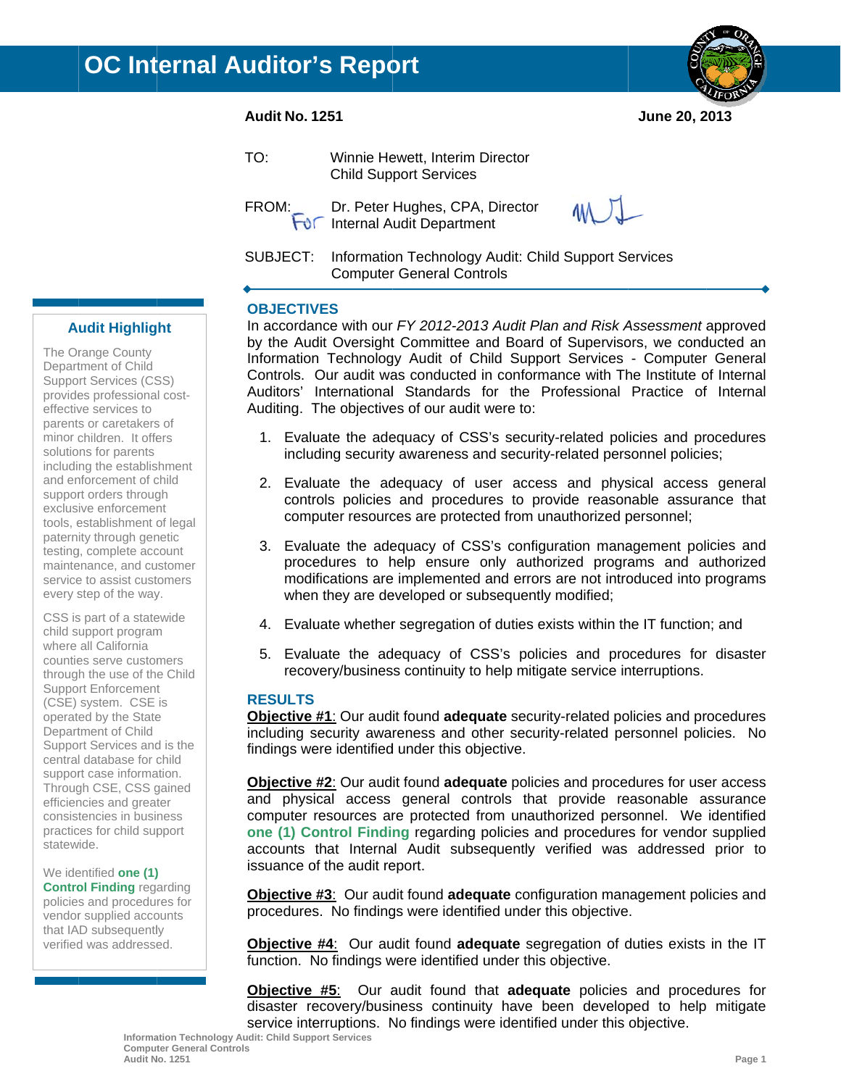#### **Audit No. 1251**

June 20, 2013

| TO: | Winnie Hewett, Interim Director<br><b>Child Support Services</b>                                  |    |
|-----|---------------------------------------------------------------------------------------------------|----|
|     | FROM: Dr. Peter Hughes, CPA, Director<br>For Internal Audit Department                            | WJ |
|     | SUBJECT: Information Technology Audit: Child Support Services<br><b>Computer General Controls</b> |    |

#### **OBJECTIVES**

In accordance with our FY 2012-2013 Audit Plan and Risk Assessment approved by the Audit Oversight Committee and Board of Supervisors, we conducted an Information Technology Audit of Child Support Services - Computer General Controls. Our audit was conducted in conformance with The Institute of Internal Auditors' International Standards for the Professional Practice of Internal Auditing. The objectives of our audit were to:

- 1. Evaluate the adequacy of CSS's security-related policies and procedures including security awareness and security-related personnel policies;
- 2. Evaluate the adequacy of user access and physical access general controls policies and procedures to provide reasonable assurance that computer resources are protected from unauthorized personnel;
- 3. Evaluate the adequacy of CSS's configuration management policies and procedures to help ensure only authorized programs and authorized modifications are implemented and errors are not introduced into programs when they are developed or subsequently modified;
- 4. Evaluate whether segregation of duties exists within the IT function; and
- 5. Evaluate the adequacy of CSS's policies and procedures for disaster recovery/business continuity to help mitigate service interruptions.

#### **RESULTS**

Objective #1: Our audit found adequate security-related policies and procedures including security awareness and other security-related personnel policies. No findings were identified under this objective.

**Objective #2:** Our audit found **adequate** policies and procedures for user access and physical access general controls that provide reasonable assurance computer resources are protected from unauthorized personnel. We identified one (1) Control Finding regarding policies and procedures for vendor supplied accounts that Internal Audit subsequently verified was addressed prior to issuance of the audit report.

**Objective #3:** Our audit found **adequate** configuration management policies and procedures. No findings were identified under this objective.

**Objective #4:** Our audit found adequate segregation of duties exists in the IT function. No findings were identified under this objective.

**Objective #5:** Our audit found that **adequate** policies and procedures for disaster recovery/business continuity have been developed to help mitigate service interruptions. No findings were identified under this objective.

## **Audit Highlight**

The Orange County Department of Child Support Services (CSS) provides professional costeffective services to parents or caretakers of minor children. It offers solutions for parents including the establishment and enforcement of child support orders through exclusive enforcement tools, establishment of legal paternity through genetic testing, complete account maintenance, and customer service to assist customers every step of the way.

CSS is part of a statewide child support program where all California counties serve customers through the use of the Child **Support Enforcement** (CSE) system. CSE is operated by the State Department of Child Support Services and is the central database for child support case information. Through CSE, CSS gained efficiencies and greater consistencies in business practices for child support statewide.

We identified one (1) **Control Finding regarding** policies and procedures for vendor supplied accounts that IAD subsequently verified was addressed.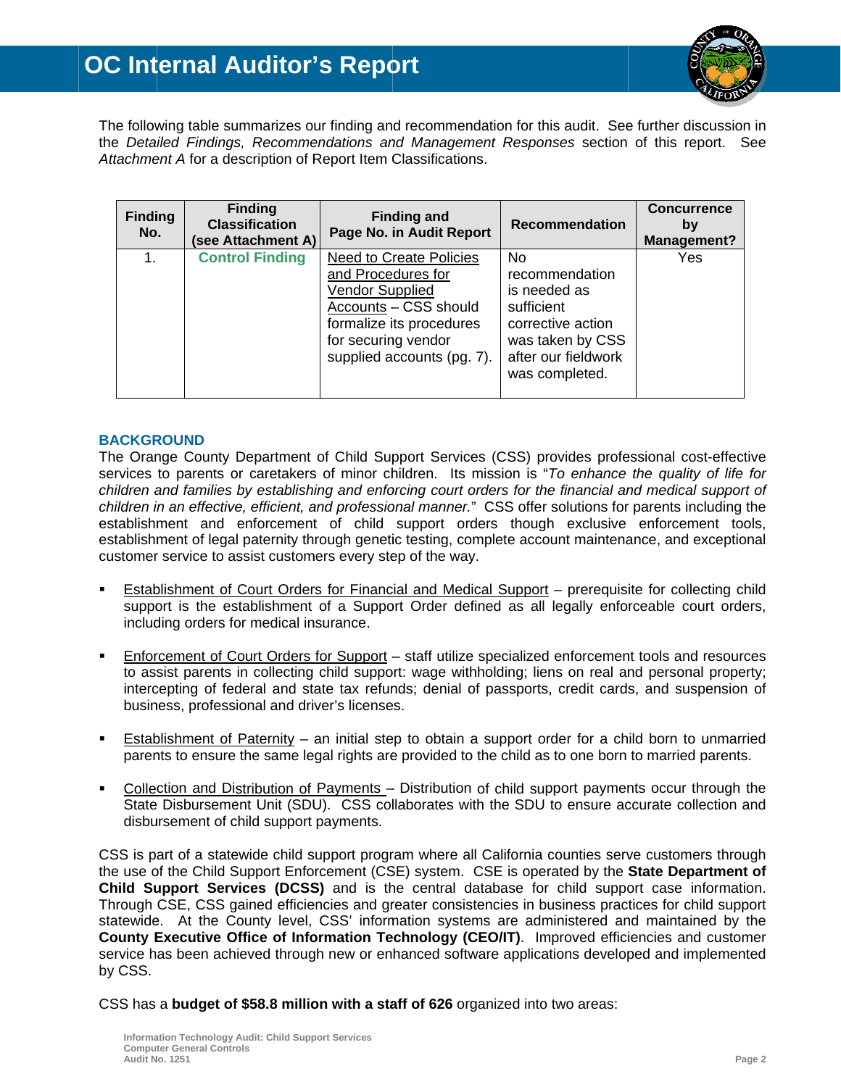

The following table summarizes our finding and recommendation for this audit. See further discussion in the Detailed Findings, Recommendations and Management Responses section of this report. See Attachment A for a description of Report Item Classifications.

| <b>Finding</b><br>No. | <b>Finding</b><br><b>Classification</b><br>(see Attachment A) | <b>Finding and</b><br>Page No. in Audit Report                                                                                                                             | <b>Recommendation</b>                                                                                                                            | <b>Concurrence</b><br>by<br>Management? |
|-----------------------|---------------------------------------------------------------|----------------------------------------------------------------------------------------------------------------------------------------------------------------------------|--------------------------------------------------------------------------------------------------------------------------------------------------|-----------------------------------------|
| 1.                    | <b>Control Finding</b>                                        | Need to Create Policies<br>and Procedures for<br>Vendor Supplied<br>Accounts - CSS should<br>formalize its procedures<br>for securing vendor<br>supplied accounts (pg. 7). | N <sub>0</sub><br>recommendation<br>is needed as<br>sufficient<br>corrective action<br>was taken by CSS<br>after our fieldwork<br>was completed. | Yes                                     |

#### **BACKGROUND**

The Orange County Department of Child Support Services (CSS) provides professional cost-effective services to parents or caretakers of minor children. Its mission is "To enhance the quality of life for children and families by establishing and enforcing court orders for the financial and medical support of children in an effective, efficient, and professional manner." CSS offer solutions for parents including the establishment and enforcement of child support orders though exclusive enforcement tools, establishment of legal paternity through genetic testing, complete account maintenance, and exceptional customer service to assist customers every step of the way.

- Establishment of Court Orders for Financial and Medical Support prerequisite for collecting child support is the establishment of a Support Order defined as all legally enforceable court orders, including orders for medical insurance.
- Enforcement of Court Orders for Support staff utilize specialized enforcement tools and resources to assist parents in collecting child support: wage withholding; liens on real and personal property; intercepting of federal and state tax refunds; denial of passports, credit cards, and suspension of business, professional and driver's licenses.
- Establishment of Paternity an initial step to obtain a support order for a child born to unmarried parents to ensure the same legal rights are provided to the child as to one born to married parents.
- Collection and Distribution of Payments Distribution of child support payments occur through the State Disbursement Unit (SDU). CSS collaborates with the SDU to ensure accurate collection and disbursement of child support payments.

CSS is part of a statewide child support program where all California counties serve customers through the use of the Child Support Enforcement (CSE) system. CSE is operated by the State Department of Child Support Services (DCSS) and is the central database for child support case information. Through CSE, CSS gained efficiencies and greater consistencies in business practices for child support statewide. At the County level, CSS' information systems are administered and maintained by the County Executive Office of Information Technology (CEO/IT). Improved efficiencies and customer service has been achieved through new or enhanced software applications developed and implemented by CSS.

CSS has a budget of \$58.8 million with a staff of 626 organized into two areas: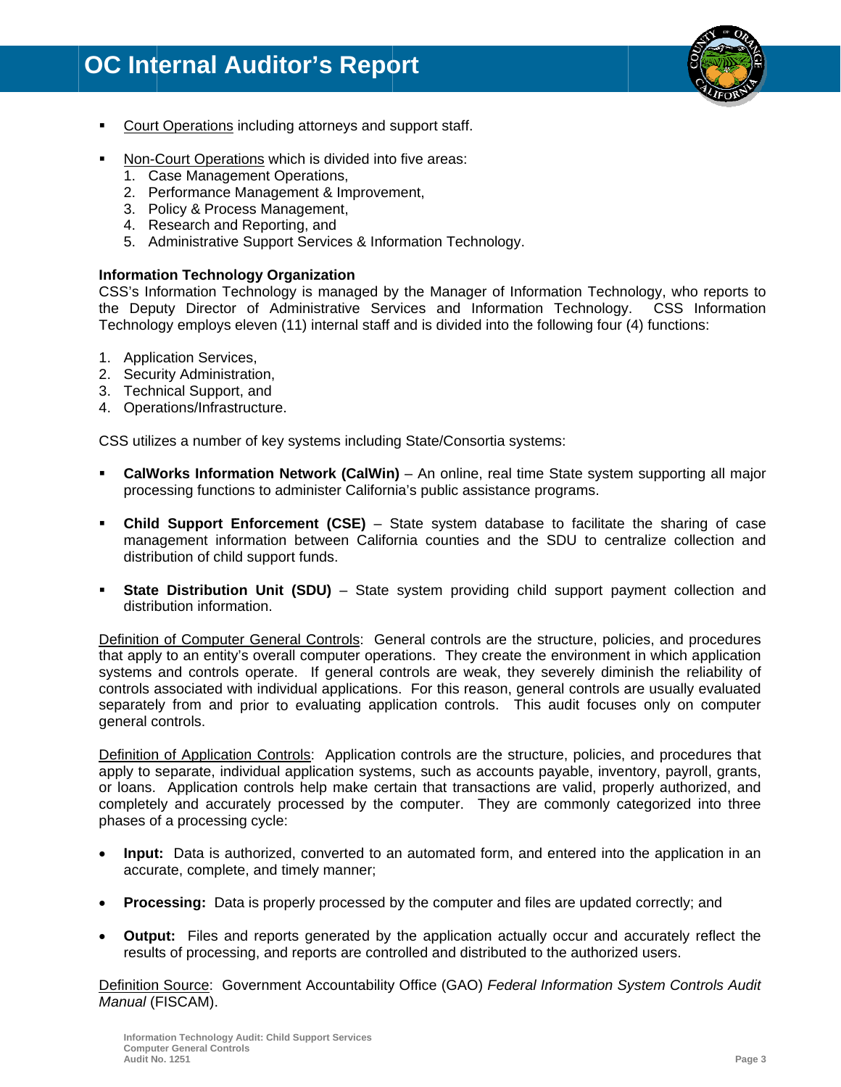

- Court Operations including attorneys and support staff.
- Non-Court Operations which is divided into five areas:
	- 1. Case Management Operations,
	- 2. Performance Management & Improvement,
	- 3. Policy & Process Management,
	- 4. Research and Reporting, and
	- 5. Administrative Support Services & Information Technology.

#### **Information Technology Organization**

CSS's Information Technology is managed by the Manager of Information Technology, who reports to the Deputy Director of Administrative Services and Information Technology. CSS Information Technology employs eleven (11) internal staff and is divided into the following four (4) functions:

- 1. Application Services,
- 2. Security Administration,
- 3. Technical Support, and
- 4. Operations/Infrastructure.

CSS utilizes a number of key systems including State/Consortia systems:

- CalWorks Information Network (CalWin) An online, real time State system supporting all major  $\blacksquare$ processing functions to administer California's public assistance programs.
- Child Support Enforcement (CSE) State system database to facilitate the sharing of case management information between California counties and the SDU to centralize collection and distribution of child support funds.
- **State Distribution Unit (SDU)** State system providing child support payment collection and  $\blacksquare$ distribution information.

Definition of Computer General Controls: General controls are the structure, policies, and procedures that apply to an entity's overall computer operations. They create the environment in which application systems and controls operate. If general controls are weak, they severely diminish the reliability of controls associated with individual applications. For this reason, general controls are usually evaluated separately from and prior to evaluating application controls. This audit focuses only on computer general controls.

Definition of Application Controls: Application controls are the structure, policies, and procedures that apply to separate, individual application systems, such as accounts payable, inventory, payroll, grants, or loans. Application controls help make certain that transactions are valid, properly authorized, and completely and accurately processed by the computer. They are commonly categorized into three phases of a processing cycle:

- Input: Data is authorized, converted to an automated form, and entered into the application in an accurate, complete, and timely manner;
- **Processing:** Data is properly processed by the computer and files are updated correctly; and
- Output: Files and reports generated by the application actually occur and accurately reflect the results of processing, and reports are controlled and distributed to the authorized users.

Definition Source: Government Accountability Office (GAO) Federal Information System Controls Audit Manual (FISCAM).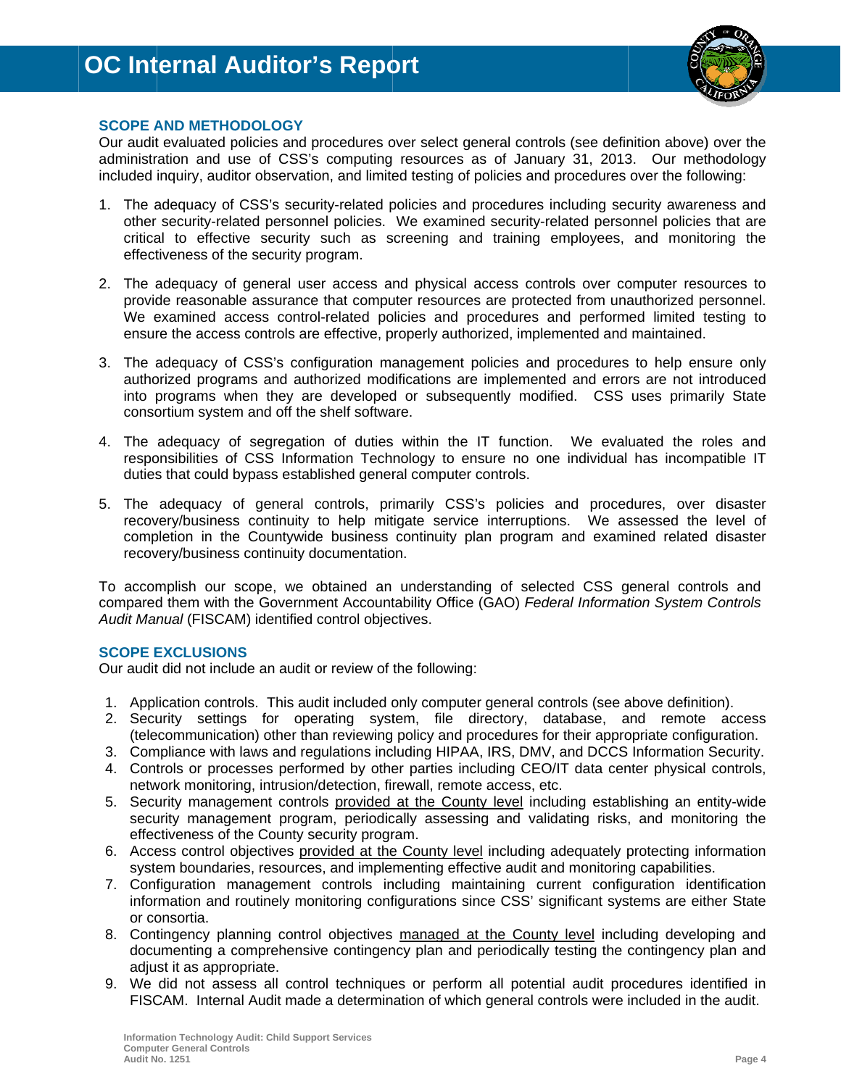

#### **SCOPE AND METHODOLOGY**

Our audit evaluated policies and procedures over select general controls (see definition above) over the administration and use of CSS's computing resources as of January 31, 2013. Our methodology included inquiry, auditor observation, and limited testing of policies and procedures over the following:

- 1. The adequacy of CSS's security-related policies and procedures including security awareness and other security-related personnel policies. We examined security-related personnel policies that are critical to effective security such as screening and training employees, and monitoring the effectiveness of the security program.
- 2. The adequacy of general user access and physical access controls over computer resources to provide reasonable assurance that computer resources are protected from unauthorized personnel. We examined access control-related policies and procedures and performed limited testing to ensure the access controls are effective, properly authorized, implemented and maintained.
- 3. The adequacy of CSS's configuration management policies and procedures to help ensure only authorized programs and authorized modifications are implemented and errors are not introduced into programs when they are developed or subsequently modified. CSS uses primarily State consortium system and off the shelf software.
- 4. The adequacy of segregation of duties within the IT function. We evaluated the roles and responsibilities of CSS Information Technology to ensure no one individual has incompatible IT duties that could bypass established general computer controls.
- 5. The adequacy of general controls, primarily CSS's policies and procedures, over disaster recovery/business continuity to help mitigate service interruptions. We assessed the level of completion in the Countywide business continuity plan program and examined related disaster recovery/business continuity documentation.

To accomplish our scope, we obtained an understanding of selected CSS general controls and compared them with the Government Accountability Office (GAO) Federal Information System Controls Audit Manual (FISCAM) identified control objectives.

#### **SCOPE EXCLUSIONS**

Our audit did not include an audit or review of the following:

- 1. Application controls. This audit included only computer general controls (see above definition).
- 2. Security settings for operating system, file directory, database, and remote access (telecommunication) other than reviewing policy and procedures for their appropriate configuration.
- 3. Compliance with laws and regulations including HIPAA, IRS, DMV, and DCCS Information Security.
- 4. Controls or processes performed by other parties including CEO/IT data center physical controls, network monitoring, intrusion/detection, firewall, remote access, etc.
- 5. Security management controls provided at the County level including establishing an entity-wide security management program, periodically assessing and validating risks, and monitoring the effectiveness of the County security program.
- 6. Access control objectives provided at the County level including adequately protecting information system boundaries, resources, and implementing effective audit and monitoring capabilities.
- 7. Configuration management controls including maintaining current configuration identification information and routinely monitoring configurations since CSS' significant systems are either State or consortia.
- 8. Contingency planning control objectives managed at the County level including developing and documenting a comprehensive contingency plan and periodically testing the contingency plan and adjust it as appropriate.
- 9. We did not assess all control techniques or perform all potential audit procedures identified in FISCAM. Internal Audit made a determination of which general controls were included in the audit.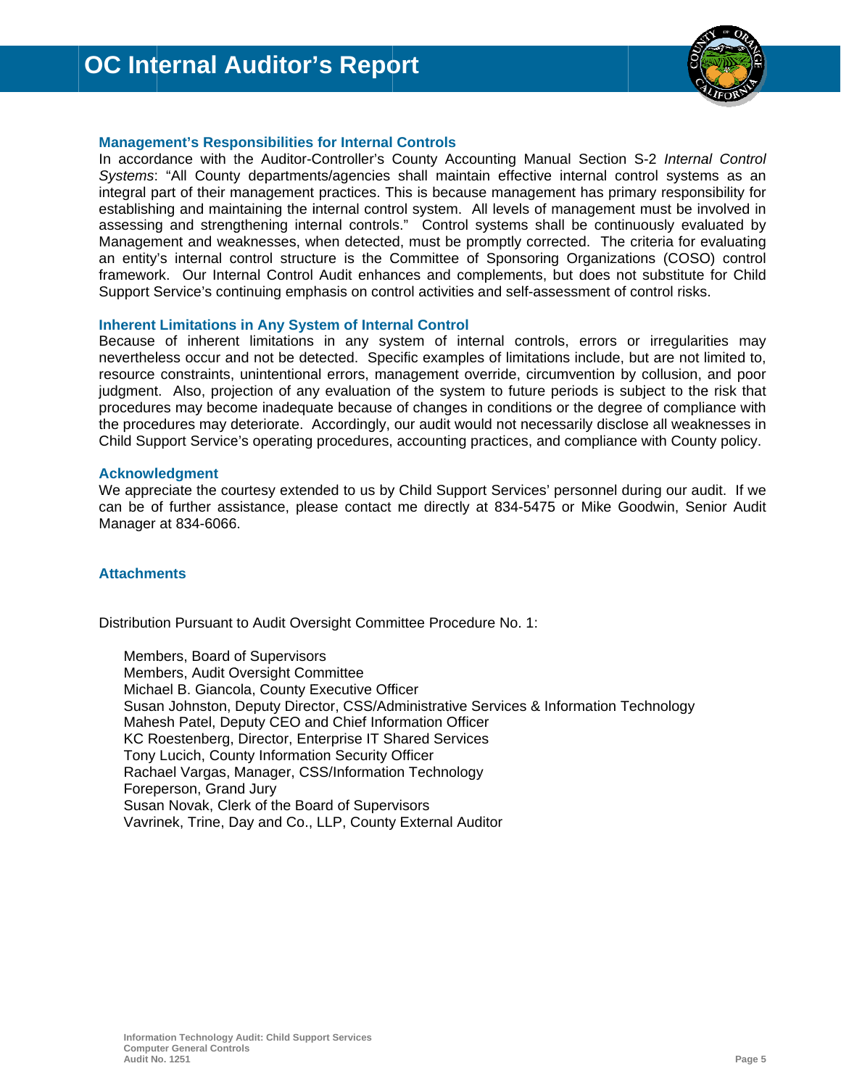

#### **Management's Responsibilities for Internal Controls**

In accordance with the Auditor-Controller's County Accounting Manual Section S-2 Internal Control Systems: "All County departments/agencies shall maintain effective internal control systems as an integral part of their management practices. This is because management has primary responsibility for establishing and maintaining the internal control system. All levels of management must be involved in assessing and strengthening internal controls." Control systems shall be continuously evaluated by Management and weaknesses, when detected, must be promptly corrected. The criteria for evaluating an entity's internal control structure is the Committee of Sponsoring Organizations (COSO) control framework. Our Internal Control Audit enhances and complements, but does not substitute for Child Support Service's continuing emphasis on control activities and self-assessment of control risks.

#### **Inherent Limitations in Any System of Internal Control**

Because of inherent limitations in any system of internal controls, errors or irregularities may nevertheless occur and not be detected. Specific examples of limitations include, but are not limited to, resource constraints, unintentional errors, management override, circumvention by collusion, and poor judgment. Also, projection of any evaluation of the system to future periods is subject to the risk that procedures may become inadequate because of changes in conditions or the degree of compliance with the procedures may deteriorate. Accordingly, our audit would not necessarily disclose all weaknesses in Child Support Service's operating procedures, accounting practices, and compliance with County policy.

#### **Acknowledgment**

We appreciate the courtesy extended to us by Child Support Services' personnel during our audit. If we can be of further assistance, please contact me directly at 834-5475 or Mike Goodwin, Senior Audit Manager at 834-6066.

#### **Attachments**

Distribution Pursuant to Audit Oversight Committee Procedure No. 1:

Members, Board of Supervisors Members, Audit Oversight Committee Michael B. Giancola, County Executive Officer Susan Johnston, Deputy Director, CSS/Administrative Services & Information Technology Mahesh Patel, Deputy CEO and Chief Information Officer KC Roestenberg, Director, Enterprise IT Shared Services Tony Lucich, County Information Security Officer Rachael Vargas, Manager, CSS/Information Technology Foreperson, Grand Jury Susan Novak, Clerk of the Board of Supervisors Vavrinek, Trine, Day and Co., LLP, County External Auditor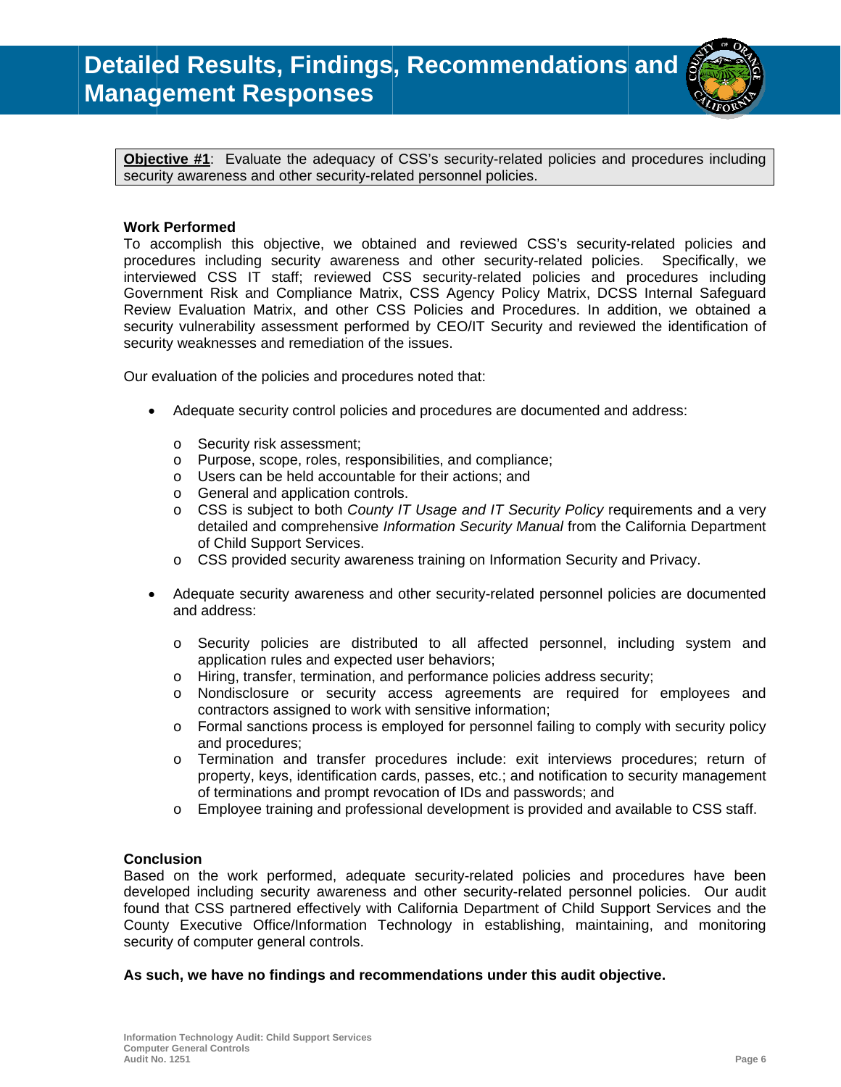

Objective #1: Evaluate the adequacy of CSS's security-related policies and procedures including security awareness and other security-related personnel policies.

#### **Work Performed**

To accomplish this objective, we obtained and reviewed CSS's security-related policies and procedures including security awareness and other security-related policies. Specifically, we interviewed CSS IT staff; reviewed CSS security-related policies and procedures including Government Risk and Compliance Matrix, CSS Agency Policy Matrix, DCSS Internal Safeguard Review Evaluation Matrix, and other CSS Policies and Procedures. In addition, we obtained a security vulnerability assessment performed by CEO/IT Security and reviewed the identification of security weaknesses and remediation of the issues.

Our evaluation of the policies and procedures noted that:

- $\bullet$ Adequate security control policies and procedures are documented and address:
	- o Security risk assessment;
	- o Purpose, scope, roles, responsibilities, and compliance;
	- o Users can be held accountable for their actions; and
	- o General and application controls.
	- $\circ$  CSS is subject to both County IT Usage and IT Security Policy requirements and a very detailed and comprehensive Information Security Manual from the California Department of Child Support Services.
	- $\circ$  CSS provided security awareness training on Information Security and Privacy.
- $\bullet$ Adequate security awareness and other security-related personnel policies are documented and address:
	- Security policies are distributed to all affected personnel, including system and  $\circ$ application rules and expected user behaviors:
	- Hiring, transfer, termination, and performance policies address security;  $\circ$
	- $\circ$ Nondisclosure or security access agreements are required for employees and contractors assigned to work with sensitive information;
	- Formal sanctions process is employed for personnel failing to comply with security policy  $\circ$ and procedures;
	- Termination and transfer procedures include: exit interviews procedures; return of  $\circ$ property, keys, identification cards, passes, etc.; and notification to security management of terminations and prompt revocation of IDs and passwords; and
	- Employee training and professional development is provided and available to CSS staff.  $\circ$

#### **Conclusion**

Based on the work performed, adequate security-related policies and procedures have been developed including security awareness and other security-related personnel policies. Our audit found that CSS partnered effectively with California Department of Child Support Services and the County Executive Office/Information Technology in establishing, maintaining, and monitoring security of computer general controls.

#### As such, we have no findings and recommendations under this audit objective.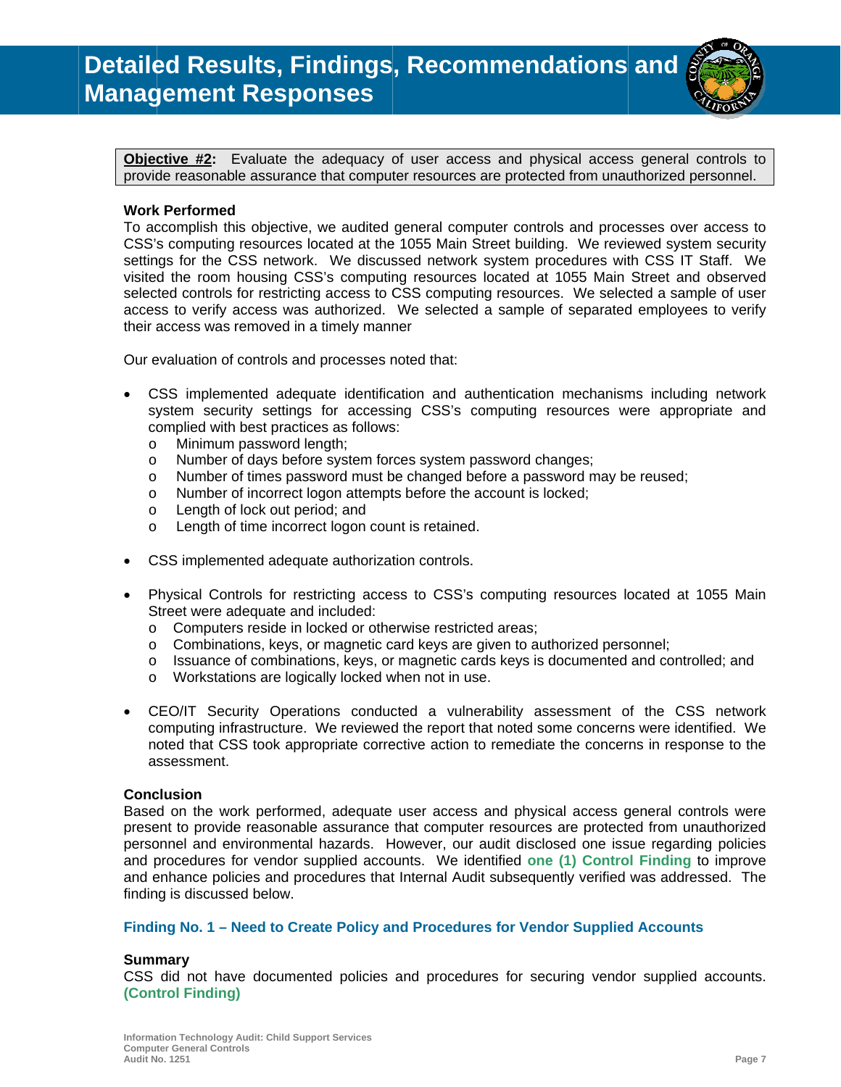

Objective #2: Evaluate the adequacy of user access and physical access general controls to provide reasonable assurance that computer resources are protected from unauthorized personnel.

#### **Work Performed**

To accomplish this objective, we audited general computer controls and processes over access to CSS's computing resources located at the 1055 Main Street building. We reviewed system security settings for the CSS network. We discussed network system procedures with CSS IT Staff. We visited the room housing CSS's computing resources located at 1055 Main Street and observed selected controls for restricting access to CSS computing resources. We selected a sample of user access to verify access was authorized. We selected a sample of separated employees to verify their access was removed in a timely manner

Our evaluation of controls and processes noted that:

- CSS implemented adequate identification and authentication mechanisms including network system security settings for accessing CSS's computing resources were appropriate and complied with best practices as follows:
	- Minimum password length;  $\circ$
	- Number of days before system forces system password changes;  $\circ$
	- Number of times password must be changed before a password may be reused;  $\circ$
	- Number of incorrect logon attempts before the account is locked;  $\circ$
	- Length of lock out period; and  $\Omega$
	- Length of time incorrect logon count is retained.  $\sim$
- CSS implemented adequate authorization controls.  $\bullet$
- Physical Controls for restricting access to CSS's computing resources located at 1055 Main Street were adequate and included:
	- o Computers reside in locked or otherwise restricted areas;
	- o Combinations, keys, or magnetic card keys are given to authorized personnel;
	- $\circ$  Issuance of combinations, keys, or magnetic cards keys is documented and controlled; and
	- o Workstations are logically locked when not in use.
- CEO/IT Security Operations conducted a vulnerability assessment of the CSS network  $\bullet$ computing infrastructure. We reviewed the report that noted some concerns were identified. We noted that CSS took appropriate corrective action to remediate the concerns in response to the assessment.

#### **Conclusion**

Based on the work performed, adequate user access and physical access general controls were present to provide reasonable assurance that computer resources are protected from unauthorized personnel and environmental hazards. However, our audit disclosed one issue regarding policies and procedures for vendor supplied accounts. We identified one (1) Control Finding to improve and enhance policies and procedures that Internal Audit subsequently verified was addressed. The finding is discussed below.

#### Finding No. 1 – Need to Create Policy and Procedures for Vendor Supplied Accounts

#### **Summary**

CSS did not have documented policies and procedures for securing vendor supplied accounts. **(Control Finding)**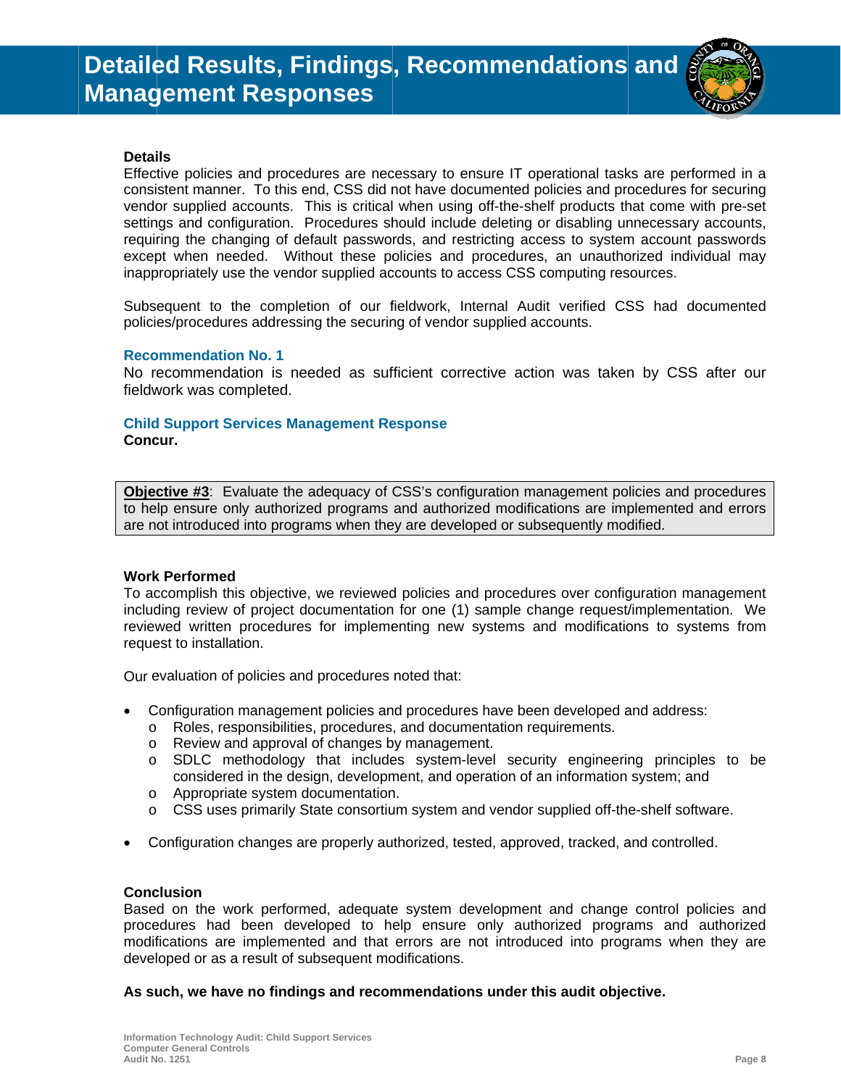

#### **Details**

Effective policies and procedures are necessary to ensure IT operational tasks are performed in a consistent manner. To this end, CSS did not have documented policies and procedures for securing vendor supplied accounts. This is critical when using off-the-shelf products that come with pre-set settings and configuration. Procedures should include deleting or disabling unnecessary accounts, requiring the changing of default passwords, and restricting access to system account passwords except when needed. Without these policies and procedures, an unauthorized individual may inappropriately use the vendor supplied accounts to access CSS computing resources.

Subsequent to the completion of our fieldwork, Internal Audit verified CSS had documented policies/procedures addressing the securing of vendor supplied accounts.

#### **Recommendation No. 1**

No recommendation is needed as sufficient corrective action was taken by CSS after our fieldwork was completed.

## **Child Support Services Management Response**

Concur.

**Objective #3:** Evaluate the adequacy of CSS's configuration management policies and procedures to help ensure only authorized programs and authorized modifications are implemented and errors are not introduced into programs when they are developed or subsequently modified.

#### **Work Performed**

To accomplish this objective, we reviewed policies and procedures over configuration management including review of project documentation for one (1) sample change request/implementation. We reviewed written procedures for implementing new systems and modifications to systems from request to installation.

Our evaluation of policies and procedures noted that:

- Configuration management policies and procedures have been developed and address:
	- o Roles, responsibilities, procedures, and documentation requirements.
	- o Review and approval of changes by management.
	- o SDLC methodology that includes system-level security engineering principles to be considered in the design, development, and operation of an information system; and
	- o Appropriate system documentation.
	- $\circ$  CSS uses primarily State consortium system and vendor supplied off-the-shelf software.
- Configuration changes are properly authorized, tested, approved, tracked, and controlled.

#### **Conclusion**

Based on the work performed, adequate system development and change control policies and procedures had been developed to help ensure only authorized programs and authorized modifications are implemented and that errors are not introduced into programs when they are developed or as a result of subsequent modifications.

#### As such, we have no findings and recommendations under this audit objective.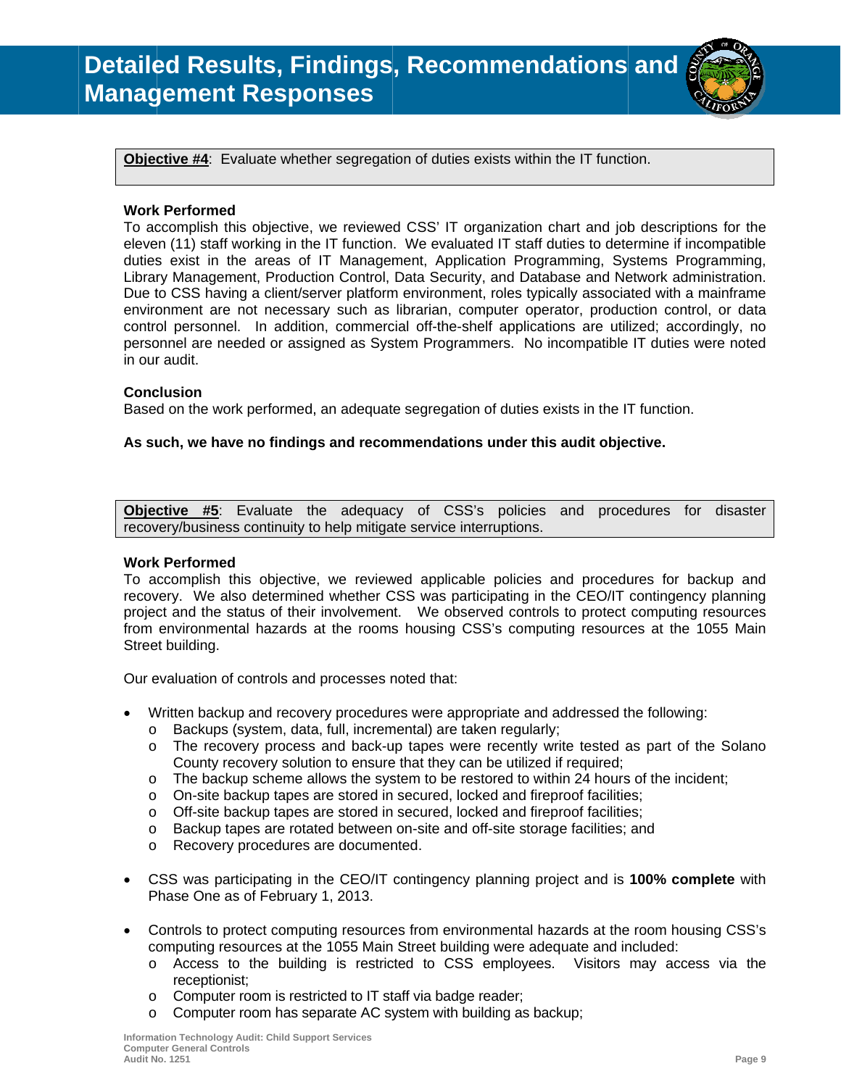

Objective **#4**: Evaluate whether segregation of duties exists within the IT function.

#### **Work k Performed**

To accomplish this objective, we reviewed CSS' IT organization chart and job descriptions for the eleven (11) staff working in the IT function. We evaluated IT staff duties to determine if incompatible duties exist in the areas of IT Management, Application Programming, Systems Programming, Library Management, Production Control, Data Security, and Database and Network administration. Due to CSS having a client/server platform environment, roles typically associated with a mainframe environment are not necessary such as librarian, computer operator, production control, or data control personnel. In addition, commercial off-the-shelf applications are utilized; accordingly, no personnel are needed or assigned as System Programmers. No incompatible IT duties were noted in our audit.

#### **Conc clusion**

Based on the work performed, an adequate segregation of duties exists in the IT function.

#### As such, we have no findings and recommendations under this audit objective.

**Objec ctive #5**: recovery/business continuity to help mitigate service interruptions. Evaluate the adequacy of CSS policies and and procedures for disaster

#### **Work k Performed**

To accomplish this objective, we reviewed applicable policies and procedures for backup and recovery. We also determined whether CSS was participating in the CEO/IT contingency planning project and the status of their involvement. We observed controls to protect computing resources from environmental hazards at the rooms housing CSS's computing resources at the 1055 Main Street building.

Our evaluation of controls and processes noted that:

- Written backup and recovery procedures were appropriate and addressed the following:
	- o Backups (system, data, full, incremental) are taken regularly;
	- o The recovery process and back-up tapes were recently write tested as part of the Solano County recovery solution to ensure that they can be utilized if required;
	- o The backup scheme allows the system to be restored to within 24 hours of the incident;
	- o On-site backup tapes are stored in secured, locked and fireproof facilities;
	- o Off-site backup tapes are stored in secured, locked and fireproof facilities;
	- o Backup tapes are rotated between on-site and off-site storage facilities; and
	- o Recovery procedures are documented.
- CSS was participating in the CEO/IT contingency planning project and is 100% complete with Phase One as of February 1, 2013.
- Controls to protect computing resources from environmental hazards at the room housing CSS's computing resources at the 1055 Main Street building were adequate and included:
	- o Access to the building is restricted to CSS employees. Visitors may access via the receptionist;
	- o Computer room is restricted to IT staff via badge reader;
	- o Computer room has separate AC system with building as backup;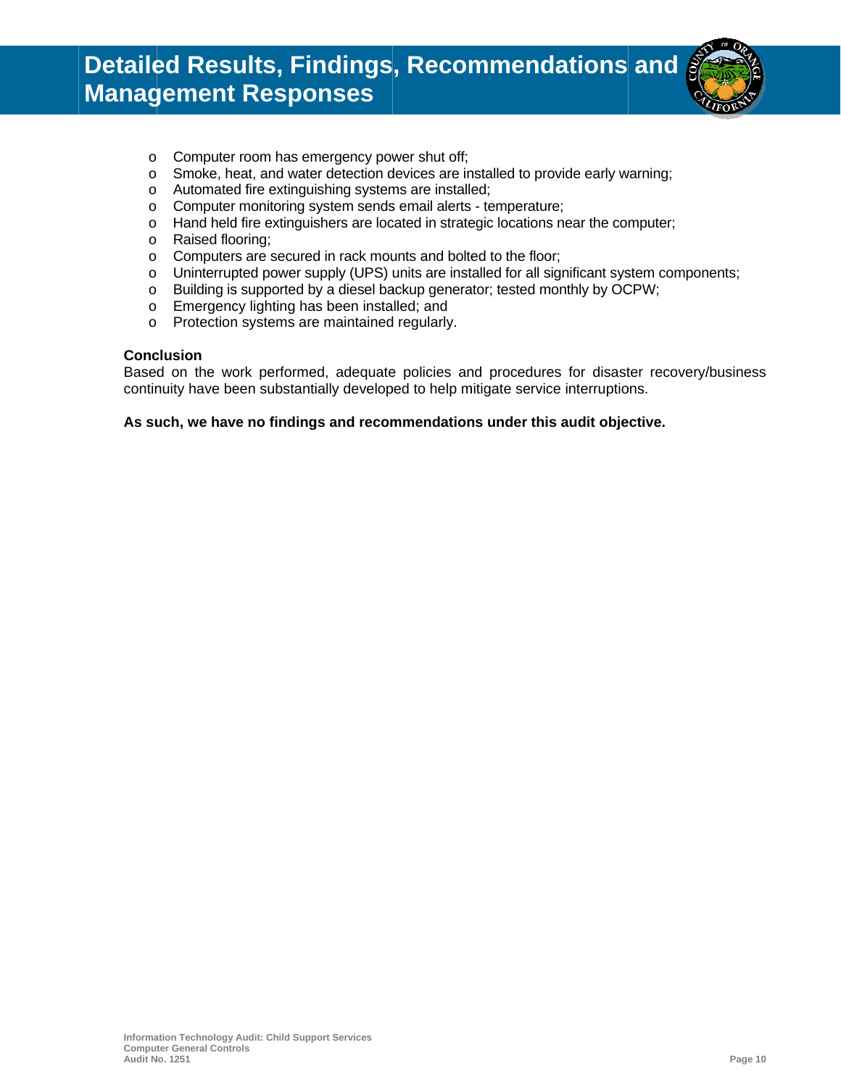# **Detailed Results, Findings, Recommendations and Management Responses**



- Computer room has emergency power shut off;  $\circ$
- Smoke, heat, and water detection devices are installed to provide early warning;  $\circ$
- o Automated fire extinguishing systems are installed;
- o Computer monitoring system sends email alerts temperature;
- Hand held fire extinguishers are located in strategic locations near the computer;  $\circ$
- o Raised flooring;
- o Computers are secured in rack mounts and bolted to the floor;
- o Uninterrupted power supply (UPS) units are installed for all significant system components;
- o Building is supported by a diesel backup generator; tested monthly by OCPW;
- o Emergency lighting has been installed; and
- Protection systems are maintained regularly.  $\circ$

#### **Conclusion**

Based on the work performed, adequate policies and procedures for disaster recovery/business continuity have been substantially developed to help mitigate service interruptions.

#### As such, we have no findings and recommendations under this audit objective.